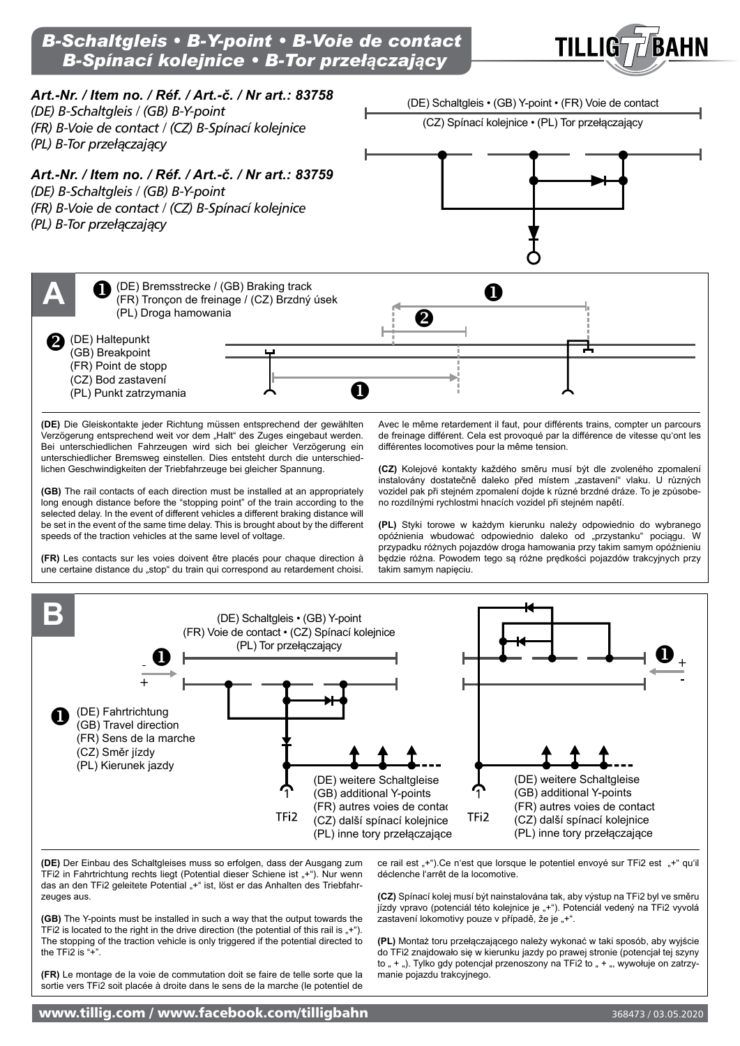





**(GB)** The Y-points must be installed in such a way that the output towards the TFi2 is located to the right in the drive direction (the potential of this rail is  $,+^{\circ}$ ). The stopping of the traction vehicle is only triggered if the potential directed to the TFi2 is "+".

zeuges aus.

**(FR)** Le montage de la voie de commutation doit se faire de telle sorte que la sortie vers TFi2 soit placée à droite dans le sens de la marche (le potentiel de

**(CZ)** Spínací kolej musí být nainstalována tak, aby výstup na TFi2 byl ve směru jízdy vpravo (potenciál této kolejnice je "+"). Potenciál vedený na TFi2 vyvolá zastavení lokomotivy pouze v případě, že je "+".

**(PL)** Montaż toru przełączającego należy wykonać w taki sposób, aby wyjście do TFi2 znajdowało się w kierunku jazdy po prawej stronie (potencjał tej szyny to " + "). Tylko gdy potencjał przenoszony na TFi2 to " + ", wywołuje on zatrzymanie pojazdu trakcyjnego.